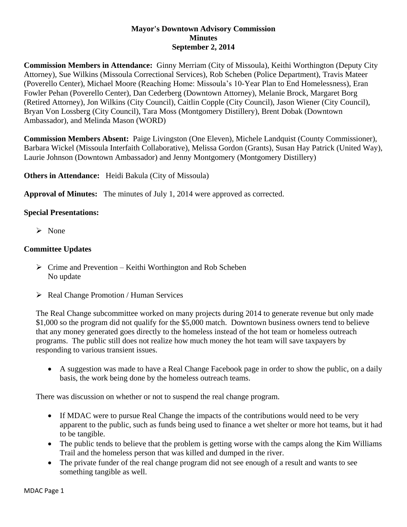## **Mayor's Downtown Advisory Commission Minutes September 2, 2014**

**Commission Members in Attendance:** Ginny Merriam (City of Missoula), Keithi Worthington (Deputy City Attorney), Sue Wilkins (Missoula Correctional Services), Rob Scheben (Police Department), Travis Mateer (Poverello Center), Michael Moore (Reaching Home: Missoula's 10-Year Plan to End Homelessness), Eran Fowler Pehan (Poverello Center), Dan Cederberg (Downtown Attorney), Melanie Brock, Margaret Borg (Retired Attorney), Jon Wilkins (City Council), Caitlin Copple (City Council), Jason Wiener (City Council), Bryan Von Lossberg (City Council), Tara Moss (Montgomery Distillery), Brent Dobak (Downtown Ambassador), and Melinda Mason (WORD)

**Commission Members Absent:** Paige Livingston (One Eleven), Michele Landquist (County Commissioner), Barbara Wickel (Missoula Interfaith Collaborative), Melissa Gordon (Grants), Susan Hay Patrick (United Way), Laurie Johnson (Downtown Ambassador) and Jenny Montgomery (Montgomery Distillery)

**Others in Attendance:** Heidi Bakula (City of Missoula)

**Approval of Minutes:** The minutes of July 1, 2014 were approved as corrected.

## **Special Presentations:**

 $\triangleright$  None

## **Committee Updates**

- $\triangleright$  Crime and Prevention Keithi Worthington and Rob Scheben No update
- $\triangleright$  Real Change Promotion / Human Services

The Real Change subcommittee worked on many projects during 2014 to generate revenue but only made \$1,000 so the program did not qualify for the \$5,000 match. Downtown business owners tend to believe that any money generated goes directly to the homeless instead of the hot team or homeless outreach programs. The public still does not realize how much money the hot team will save taxpayers by responding to various transient issues.

 A suggestion was made to have a Real Change Facebook page in order to show the public, on a daily basis, the work being done by the homeless outreach teams.

There was discussion on whether or not to suspend the real change program.

- If MDAC were to pursue Real Change the impacts of the contributions would need to be very apparent to the public, such as funds being used to finance a wet shelter or more hot teams, but it had to be tangible.
- The public tends to believe that the problem is getting worse with the camps along the Kim Williams Trail and the homeless person that was killed and dumped in the river.
- The private funder of the real change program did not see enough of a result and wants to see something tangible as well.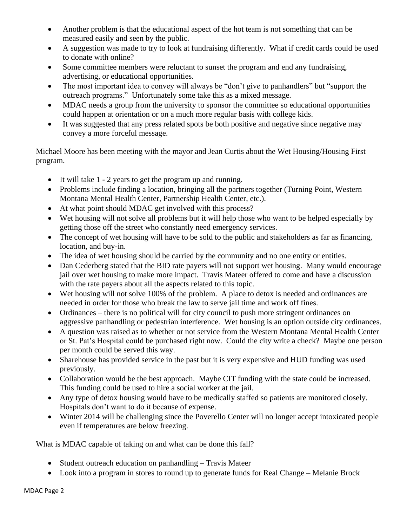- Another problem is that the educational aspect of the hot team is not something that can be measured easily and seen by the public.
- A suggestion was made to try to look at fundraising differently. What if credit cards could be used to donate with online?
- Some committee members were reluctant to sunset the program and end any fundraising, advertising, or educational opportunities.
- The most important idea to convey will always be "don't give to panhandlers" but "support the outreach programs." Unfortunately some take this as a mixed message.
- MDAC needs a group from the university to sponsor the committee so educational opportunities could happen at orientation or on a much more regular basis with college kids.
- It was suggested that any press related spots be both positive and negative since negative may convey a more forceful message.

Michael Moore has been meeting with the mayor and Jean Curtis about the Wet Housing/Housing First program.

- It will take 1 2 years to get the program up and running.
- Problems include finding a location, bringing all the partners together (Turning Point, Western Montana Mental Health Center, Partnership Health Center, etc.).
- At what point should MDAC get involved with this process?
- Wet housing will not solve all problems but it will help those who want to be helped especially by getting those off the street who constantly need emergency services.
- The concept of wet housing will have to be sold to the public and stakeholders as far as financing, location, and buy-in.
- The idea of wet housing should be carried by the community and no one entity or entities.
- Dan Cederberg stated that the BID rate payers will not support wet housing. Many would encourage jail over wet housing to make more impact. Travis Mateer offered to come and have a discussion with the rate payers about all the aspects related to this topic.
- Wet housing will not solve 100% of the problem. A place to detox is needed and ordinances are needed in order for those who break the law to serve jail time and work off fines.
- Ordinances there is no political will for city council to push more stringent ordinances on aggressive panhandling or pedestrian interference. Wet housing is an option outside city ordinances.
- A question was raised as to whether or not service from the Western Montana Mental Health Center or St. Pat's Hospital could be purchased right now. Could the city write a check? Maybe one person per month could be served this way.
- Sharehouse has provided service in the past but it is very expensive and HUD funding was used previously.
- Collaboration would be the best approach. Maybe CIT funding with the state could be increased. This funding could be used to hire a social worker at the jail.
- Any type of detox housing would have to be medically staffed so patients are monitored closely. Hospitals don't want to do it because of expense.
- Winter 2014 will be challenging since the Poverello Center will no longer accept intoxicated people even if temperatures are below freezing.

What is MDAC capable of taking on and what can be done this fall?

- Student outreach education on panhandling Travis Mateer
- Look into a program in stores to round up to generate funds for Real Change Melanie Brock